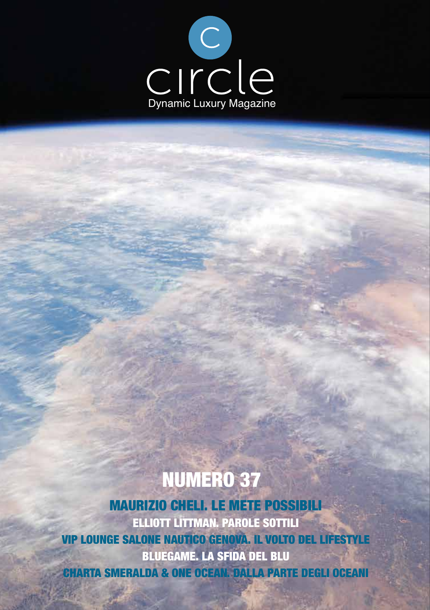

# NUMERO 37

# MAURIZIO CHELI. LE METE POSSIBILI

ELLIOTT LITTMAN. PAROLE SOTTILI VIP LOUNGE SALONE NAUTICO GENOVA. IL VOLTO DEL LIFESTYLE BLUEGAME. LA SFIDA DEL BLU CHARTA SMERALDA & ONE OCEAN. DALLA PARTE DEGLI OCEANI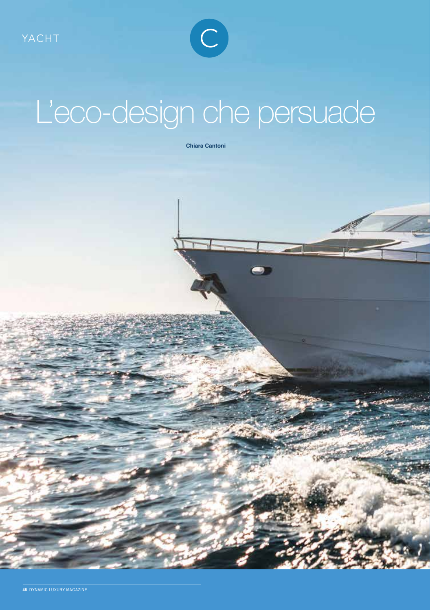

# L'eco-design che persuade

**Chiara Cantoni**

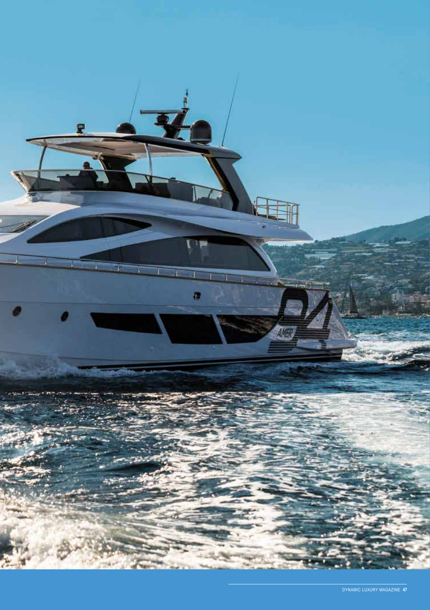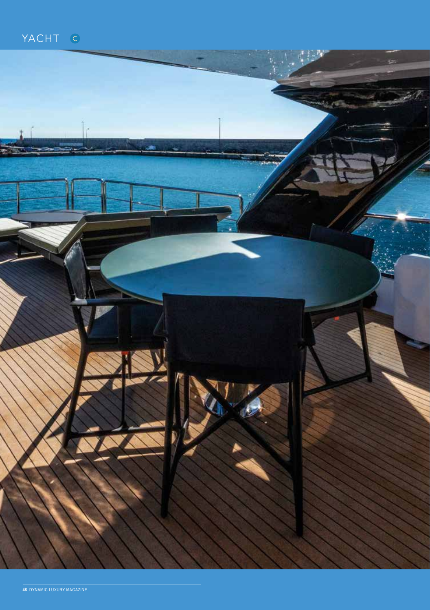

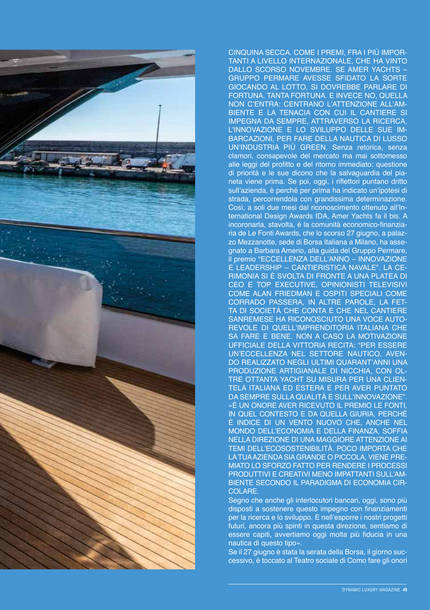

CINQUINA SECCA. COME I PREMI, FRA I PIÙ IMPOR-TANTI A LIVELLO INTERNAZIONALE, CHE HA VINTO DALLO SCORSO NOVEMBRE. SE AMER YACHTS – GRUPPO PERMARE AVESSE SFIDATO LA SORTE GIOCANDO AL LOTTO, SI DOVREBBE PARLARE DI FORTUNA. TANTA FORTUNA. E INVECE NO, QUELLA NON C'ENTRA: CENTRANO L'ATTENZIONE ALL'AM-BIENTE E LA TENACIA CON CUI IL CANTIERE SI IMPEGNA DA SEMPRE, ATTRAVERSO LA RICERCA, L'INNOVAZIONE E LO SVILUPPO DELLE SUE IM-BARCAZIONI, PER FARE DELLA NAUTICA DI LUSSO UN'INDUSTRIA PIÙ GREEN. Senza retorica, senza clamori, consapevole del mercato ma mai sottomesso alle leggi del profitto e del ritorno immediato: questione di priorità e le sue dicono che la salvaguardia del pianeta viene prima. Se poi, oggi, i riflettori puntano dritto sull'azienda, è perché per prima ha indicato un'ipotesi di strada, percorrendola con grandissima determinazione. Così, a soli due mesi dal riconoscimento ottenuto all'International Design Awards IDA, Amer Yachts fa il bis. A incoronarla, stavolta, è la comunità economico-finanziaria de Le Fonti Awards, che lo scorso 27 giugno, a palazzo Mezzanotte, sede di Borsa Italiana a Milano, ha assegnato a Barbara Amerio, alla guida del Gruppo Permare, il premio "ECCELLENZA DELL'ANNO – INNOVAZIONE E LEADERSHIP – CANTIERISTICA NAVALE". LA CE-RIMONIA SI È SVOLTA DI FRONTE A UNA PLATEA DI CEO E TOP EXECUTIVE, OPINIONISTI TELEVISIVI COME ALAN FRIEDMAN E OSPITI SPECIALI COME CORRADO PASSERA, IN ALTRE PAROLE, LA FET-TA DI SOCIETÀ CHE CONTA E CHE NEL CANTIERE SANREMESE HA RICONOSCIUTO UNA VOCE AUTO-REVOLE DI QUELL'IMPRENDITORIA ITALIANA CHE SA FARE E BENE. NON A CASO LA MOTIVAZIONE UFFICIALE DELLA VITTORIA RECITA: "PER ESSERE UN'ECCELLENZA NEL SETTORE NAUTICO, AVEN-DO REALIZZATO NEGLI ULTIMI QUARANT'ANNI UNA PRODUZIONE ARTIGIANALE DI NICCHIA, CON OL-TRE OTTANTA YACHT SU MISURA PER UNA CLIEN-TELA ITALIANA ED ESTERA E PER AVER PUNTATO DA SEMPRE SULLA QUALITÀ E SULL'INNOVAZIONE". «È UN ONORE AVER RICEVUTO IL PREMIO LE FONTI, IN QUEL CONTESTO E DA QUELLA GIURIA, PERCHÉ È INDICE DI UN VENTO NUOVO CHE, ANCHE NEL MONDO DELL'ECONOMIA E DELLA FINANZA, SOFFIA NELLA DIREZIONE DI UNA MAGGIORE ATTENZIONE AI TEMI DELL'ECOSOSTENIBILITÀ. POCO IMPORTA CHE LA TUA AZIENDA SIA GRANDE O PICCOLA, VIENE PRE-MIATO LO SFORZO FATTO PER RENDERE I PROCESSI PRODUTTIVI E CREATIVI MENO IMPATTANTI SULL'AM-BIENTE SECONDO IL PARADIGMA DI ECONOMIA CIR-**COLARE** 

Segno che anche gli interlocutori bancari, oggi, sono più disposti a sostenere questo impegno con finanziamenti per la ricerca e lo sviluppo. E nell'esporre i nostri progetti futuri, ancora più spinti in questa direzione, sentiamo di essere capiti, avvertiamo oggi molta più fiducia in una nautica di questo tipo».

Se il 27 giugno è stata la serata della Borsa, il giorno successivo, è toccato al Teatro sociale di Como fare gli onori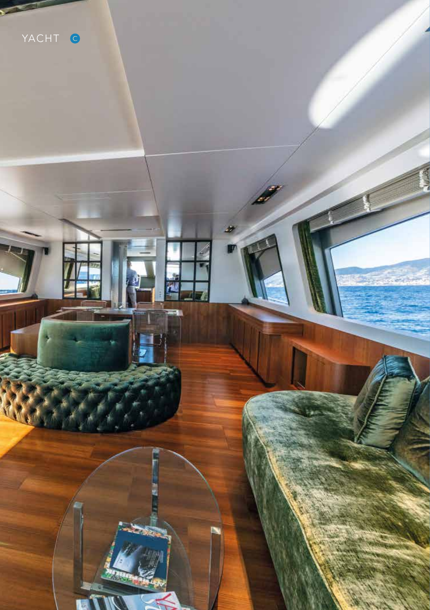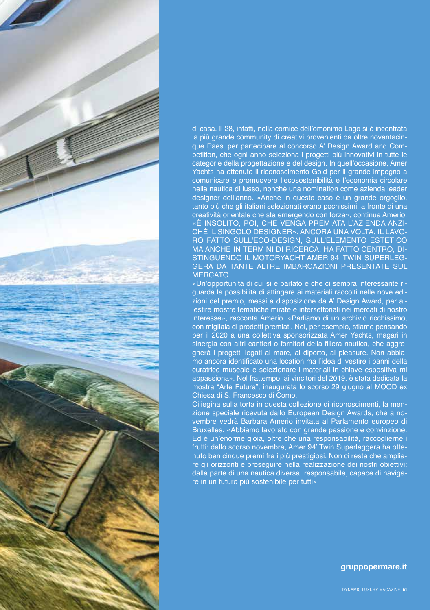

di casa. Il 28, infatti, nella cornice dell'omonimo Lago si è incontrata la più grande community di creativi provenienti da oltre novantacinque Paesi per partecipare al concorso A' Design Award and Competition, che ogni anno seleziona i progetti più innovativi in tutte le categorie della progettazione e del design. In quell'occasione, Amer Yachts ha ottenuto il riconoscimento Gold per il grande impegno a comunicare e promuovere l'ecosostenibilità e l'economia circolare nella nautica di lusso, nonché una nomination come azienda leader designer dell'anno. «Anche in questo caso è un grande orgoglio, tanto più che gli italiani selezionati erano pochissimi, a fronte di una creatività orientale che sta emergendo con forza», continua Amerio. «È INSOLITO, POI, CHE VENGA PREMIATA L'AZIENDA ANZI-CHÉ IL SINGOLO DESIGNER». ANCORA UNA VOLTA, IL LAVO-RO FATTO SULL'ECO-DESIGN, SULL'ELEMENTO ESTETICO MA ANCHE IN TERMINI DI RICERCA, HA FATTO CENTRO, DI-STINGUENDO IL MOTORYACHT AMER 94' TWIN SUPERLEG-GERA DA TANTE ALTRE IMBARCAZIONI PRESENTATE SUL MERCATO.

«Un'opportunità di cui si è parlato e che ci sembra interessante riguarda la possibilità di attingere ai materiali raccolti nelle nove edizioni del premio, messi a disposizione da A' Design Award, per allestire mostre tematiche mirate e intersettoriali nei mercati di nostro interesse», racconta Amerio. «Parliamo di un archivio ricchissimo, con migliaia di prodotti premiati. Noi, per esempio, stiamo pensando per il 2020 a una collettiva sponsorizzata Amer Yachts, magari in sinergia con altri cantieri o fornitori della filiera nautica, che aggregherà i progetti legati al mare, al diporto, al pleasure. Non abbiamo ancora identificato una location ma l'idea di vestire i panni della curatrice museale e selezionare i materiali in chiave espositiva mi appassiona». Nel frattempo, ai vincitori del 2019, è stata dedicata la mostra "Arte Futura", inaugurata lo scorso 29 giugno al MOOD ex Chiesa di S. Francesco di Como.

Ciliegina sulla torta in questa collezione di riconoscimenti, la menzione speciale ricevuta dallo European Design Awards, che a novembre vedrà Barbara Amerio invitata al Parlamento europeo di Bruxelles. «Abbiamo lavorato con grande passione e convinzione. Ed è un'enorme gioia, oltre che una responsabilità, raccoglierne i frutti: dallo scorso novembre, Amer 94' Twin Superleggera ha ottenuto ben cinque premi fra i più prestigiosi. Non ci resta che ampliare gli orizzonti e proseguire nella realizzazione dei nostri obiettivi: dalla parte di una nautica diversa, responsabile, capace di navigare in un futuro più sostenibile per tutti».

#### **gruppopermare.it**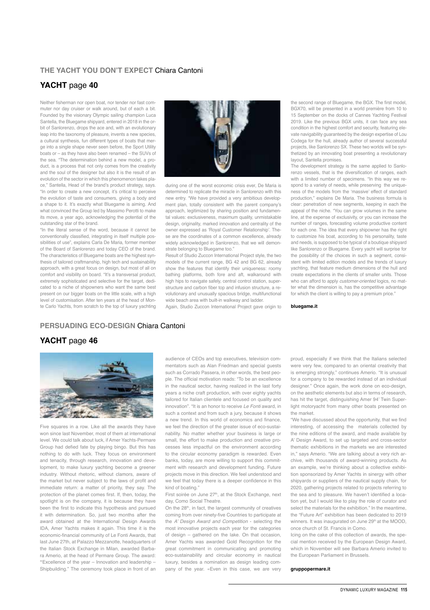#### **THE YACHT YOU DON'T EXPECT** Chiara Cantoni

#### **YACHT** page **40**

Neither fisherman nor open boat, nor tender nor fast commuter nor day cruiser or walk around, but of each a bit. Founded by the visionary Olympic sailing champion Luca Santella, the Bluegame shipyard, entered in 2018 in the orbit of Sanlorenzo, drops the ace and, with an evolutionary leap into the taxonomy of pleasure, invents a new species, a cultural synthesis, fun different types of boats that merge into a single shape never seen before, the Sport Utility boats or – as they have also been renamed – the SUVs of the sea. "The determination behind a new model, a product, is a process that not only comes from the creativity and the soul of the designer but also it is the result of an evolution of the sector in which this phenomenon takes place," Santella, Head of the brand's product strategy, says. "In order to create a new concept, it's critical to perceive the evolution of taste and consumers, giving a body and a shape to it. It's exactly what Bluegame is aiming. And what convinced the Group led by Massimo Perotti to make its move, a year ago, acknowledging the potential of the outstanding star of the brand.

"In the literal sense of the word, because it cannot be conventionally classified, integrating in itself multiple possibilities of use", explains Carla De Maria, former member of the Board of Sanlorenzo and today CEO of the brand. The characteristics of Bluegame boats are the highest synthesis of tailored craftmanship, high tech and sustainability approach, with a great focus on design, but most of all on comfort and visibility on board. "It's a transversal product, extremely sophisticated and selective for the target, dedicated to a niche of shipowners who want the same best present on our bigger boats on the little scale, with a high level of customisation. After ten years at the head of Monte Carlo Yachts, from scratch to the top of luxury yachting



during one of the worst economic crisis ever, De Maria is determined to replicate the miracle in Sanlorenzo with this new entry. "We have provided a very ambitious development plan, totally consistent with the parent company's approach, legitimized by sharing position and fundamental values: exclusiveness, maximum quality, unmistakable design, originality, marked innovation and centrality of the owner expressed as 'Royal Customer Relationship'. These are the coordinates of a common excellence, already widely acknowledged in Sanlorenzo, that we will demonstrate belonging to Bluegame too."

Result of Studio Zuccon International Project style, the two models of the current range, BG 42 and BG 62, already show the features that identify their uniqueness: roomy bathing platforms, both fore and aft, walkaround with high hips to navigate safely, central control station, superstructure and carbon fiber top and infusion structure, a revolutionary and unusually spacious bridge, multifunctional wide beach area with built-in walkway and ladder

Again, Studio Zuccon International Project gave origin to

the second range of Bluegame, the BGX. The first model, BGX70, will be presented in a world première from 10 to 15 September on the docks of Cannes Yachting Festival 2019. Like the previous BGX units, it can face any sea condition in the highest comfort and security, featuring elevate navigability guaranteed by the design expertise of Lou Codega for the hull, already author of several successful projects, like Sanlorenzo SX. These two worlds will be synthetized by an innovating boat presenting a revolutionary layout, Santella promises.

The development strategy is the same applied to Sanlorenzo vessels, that is the diversification of ranges, each with a limited number of specimens. "In this way we respond to a variety of needs, while preserving the uniqueness of the models from the 'massive' effect of standard production," explains De Maria. The business formula is clear: penetration of new segments, keeping in each the appeal of the niche. "You can grow volumes in the same line, at the expense of exclusivity, or you can increase the number of ranges, forecasting volume productive content for each one. The idea that every shipowner has the right to customize his boat, according to his personality, taste and needs, is supposed to be typical of a boutique shipyard like Sanlorenzo or Bluegame. Every yacht will surprise for the possibility of the choices in such a segment, consistent with limited edition models and the trends of luxury yachting, that feature medium dimensions of the hull and create expectations in the clients of smaller units. Those who can afford to apply *customer-oriented* logics, no matter what the dimension is, has the competitive advantage for which the client is willing to pay a premium price.

#### **bluegame.it**

#### **PERSUADING ECO-DESIGN** Chiara Cantoni

#### **YACHT** page **46**



Five squares in a row. Like all the awards they have won since last November, most of them at international level. We could talk about luck, if Amer Yachts-Permare Group had defied fate by playing bingo. But this has nothing to do with luck. They focus on environment and tenacity, through research, innovation and development, to make luxury yachting become a greener industry. Without rhetoric, without clamors, aware of the market but never subject to the laws of profit and immediate return: a matter of priority, they say. The protection of the planet comes first. If, then, today, the spotlight is on the company, it is because they have been the first to indicate this hypothesis and pursued it with determination. So, just two months after the award obtained at the International Design Awards IDA, Amer Yachts makes it again. This time it is the economic-financial community of Le Fonti Awards, that last June 27th, at Palazzo Mezzanotte, headquarters of the Italian Stock Exchange in Milan, awarded Barbara Amerio, at the head of Permare Group. The award: **"**Excellence of the year – Innovation and leadership – Shipbuilding." The ceremony took place in front of an audience of CEOs and top executives, television commentators such as Alan Friedman and special guests such as Corrado Passera, in other words, the best people. The official motivation reads: "To be an excellence in the nautical sector, having realized in the last forty years a niche craft production, with over eighty yachts tailored for Italian clientele and focused on quality and innovation". "It is an honor to receive *Le Fonti* award, in such a context and from such a jury, because it shows a new trend. In this world of economics and finance, we feel the direction of the greater issue of eco-sustainability. No matter whether your business is large or small, the effort to make production and creative processes less impactful on the environment according to the circular economy paradigm is rewarded. Even banks, today, are more willing to support this commitment with research and development funding. Future projects move in this direction. We feel understood and we feel that today there is a deeper confidence in this kind of boating.

First soirée on June 27<sup>th</sup>, at the Stock Exchange, next day, Como Social Theatre.

On the 28<sup>th</sup>, in fact, the largest community of creatives coming from over ninety-five Countries to participate at the A' Design Award and Competition - selecting the most innovative projects each year for the categories of design – gathered on the lake. On that occasion, Amer Yachts was awarded Gold Recognition for the great commitment in communicating and promoting eco-sustainability and circular economy in nautical luxury, besides a nomination as design leading company of the year. «Even in this case, we are very

proud, especially if we think that the Italians selected were very few, compared to an oriental creativity that is emerging strongly," continues Amerio. "It is unusual for a company to be rewarded instead of an individual designer." Once again, the work done on eco-design, on the aesthetic elements but also in terms of research, has hit the target, distinguishing Amer 94' Twin Superlight motoryacht from many other boats presented on the market.

"We have discussed about the opportunity, that we find interesting, of accessing the materials collected by the nine editions of the award, and made available by A' Design Award, to set up targeted and cross-sector thematic exhibitions in the markets we are interested in," says Amerio. "We are talking about a very rich archive, with thousands of award-winning products. As an example, we're thinking about a collective exhibition sponsorized by Amer Yachts in sinergy with other shipyards or suppliers of the nautical supply chain, for 2020, gathering projects related to projects referring to the sea and to pleasure. We haven't identified a location yet, but I would like to play the role of curator and select the materials for the exhibition." In the meantime, the "Future Art" exhibition has been dedicated to 2019 winners. It was inaugurated on June 29<sup>th</sup> at the MOOD. once church of St. Francis in Como.

Icing on the cake of this collection of awards, the special mention received by the European Design Award, which in November will see Barbara Amerio invited to the European Parliament in Brussels.

#### **gruppopermare.it**